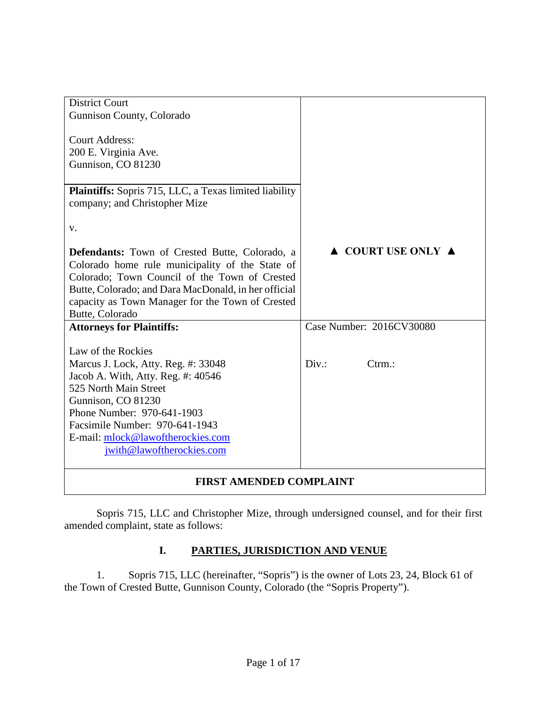| <b>District Court</b>                                         |                                        |
|---------------------------------------------------------------|----------------------------------------|
| Gunnison County, Colorado                                     |                                        |
|                                                               |                                        |
| <b>Court Address:</b>                                         |                                        |
| 200 E. Virginia Ave.                                          |                                        |
| Gunnison, CO 81230                                            |                                        |
|                                                               |                                        |
| <b>Plaintiffs:</b> Sopris 715, LLC, a Texas limited liability |                                        |
| company; and Christopher Mize                                 |                                        |
|                                                               |                                        |
| V.                                                            |                                        |
|                                                               |                                        |
| Defendants: Town of Crested Butte, Colorado, a                | $\triangle$ COURT USE ONLY $\triangle$ |
| Colorado home rule municipality of the State of               |                                        |
| Colorado; Town Council of the Town of Crested                 |                                        |
| Butte, Colorado; and Dara MacDonald, in her official          |                                        |
| capacity as Town Manager for the Town of Crested              |                                        |
| Butte, Colorado                                               |                                        |
| <b>Attorneys for Plaintiffs:</b>                              | Case Number: 2016CV30080               |
|                                                               |                                        |
| Law of the Rockies                                            |                                        |
| Marcus J. Lock, Atty. Reg. #: 33048                           | Div.<br>$C$ trm.:                      |
| Jacob A. With, Atty. Reg. #: 40546                            |                                        |
| 525 North Main Street                                         |                                        |
| Gunnison, CO 81230                                            |                                        |
| Phone Number: 970-641-1903                                    |                                        |
| Facsimile Number: 970-641-1943                                |                                        |
| E-mail: mlock@lawoftherockies.com                             |                                        |
| jwith@lawoftherockies.com                                     |                                        |
|                                                               |                                        |
|                                                               |                                        |

### **FIRST AMENDED COMPLAINT**

Sopris 715, LLC and Christopher Mize, through undersigned counsel, and for their first amended complaint, state as follows:

## **I. PARTIES, JURISDICTION AND VENUE**

1. Sopris 715, LLC (hereinafter, "Sopris") is the owner of Lots 23, 24, Block 61 of the Town of Crested Butte, Gunnison County, Colorado (the "Sopris Property").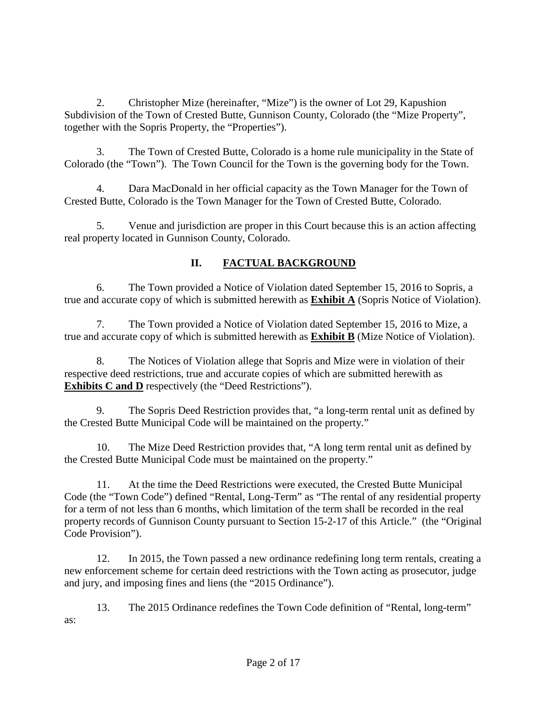2. Christopher Mize (hereinafter, "Mize") is the owner of Lot 29, Kapushion Subdivision of the Town of Crested Butte, Gunnison County, Colorado (the "Mize Property", together with the Sopris Property, the "Properties").

3. The Town of Crested Butte, Colorado is a home rule municipality in the State of Colorado (the "Town"). The Town Council for the Town is the governing body for the Town.

4. Dara MacDonald in her official capacity as the Town Manager for the Town of Crested Butte, Colorado is the Town Manager for the Town of Crested Butte, Colorado.

5. Venue and jurisdiction are proper in this Court because this is an action affecting real property located in Gunnison County, Colorado.

# **II. FACTUAL BACKGROUND**

6. The Town provided a Notice of Violation dated September 15, 2016 to Sopris, a true and accurate copy of which is submitted herewith as **Exhibit A** (Sopris Notice of Violation).

7. The Town provided a Notice of Violation dated September 15, 2016 to Mize, a true and accurate copy of which is submitted herewith as **Exhibit B** (Mize Notice of Violation).

8. The Notices of Violation allege that Sopris and Mize were in violation of their respective deed restrictions, true and accurate copies of which are submitted herewith as **Exhibits C and D** respectively (the "Deed Restrictions").

9. The Sopris Deed Restriction provides that, "a long-term rental unit as defined by the Crested Butte Municipal Code will be maintained on the property."

10. The Mize Deed Restriction provides that, "A long term rental unit as defined by the Crested Butte Municipal Code must be maintained on the property."

11. At the time the Deed Restrictions were executed, the Crested Butte Municipal Code (the "Town Code") defined "Rental, Long-Term" as "The rental of any residential property for a term of not less than 6 months, which limitation of the term shall be recorded in the real property records of Gunnison County pursuant to Section 15-2-17 of this Article." (the "Original Code Provision").

12. In 2015, the Town passed a new ordinance redefining long term rentals, creating a new enforcement scheme for certain deed restrictions with the Town acting as prosecutor, judge and jury, and imposing fines and liens (the "2015 Ordinance").

13. The 2015 Ordinance redefines the Town Code definition of "Rental, long-term" as: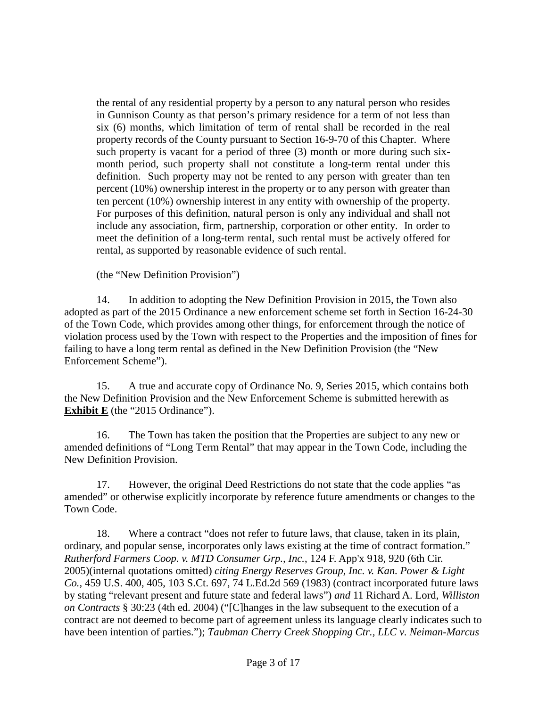the rental of any residential property by a person to any natural person who resides in Gunnison County as that person's primary residence for a term of not less than six (6) months, which limitation of term of rental shall be recorded in the real property records of the County pursuant to Section 16-9-70 of this Chapter. Where such property is vacant for a period of three (3) month or more during such sixmonth period, such property shall not constitute a long-term rental under this definition. Such property may not be rented to any person with greater than ten percent (10%) ownership interest in the property or to any person with greater than ten percent (10%) ownership interest in any entity with ownership of the property. For purposes of this definition, natural person is only any individual and shall not include any association, firm, partnership, corporation or other entity. In order to meet the definition of a long-term rental, such rental must be actively offered for rental, as supported by reasonable evidence of such rental.

(the "New Definition Provision")

14. In addition to adopting the New Definition Provision in 2015, the Town also adopted as part of the 2015 Ordinance a new enforcement scheme set forth in Section 16-24-30 of the Town Code, which provides among other things, for enforcement through the notice of violation process used by the Town with respect to the Properties and the imposition of fines for failing to have a long term rental as defined in the New Definition Provision (the "New Enforcement Scheme").

15. A true and accurate copy of Ordinance No. 9, Series 2015, which contains both the New Definition Provision and the New Enforcement Scheme is submitted herewith as **Exhibit E** (the "2015 Ordinance").

16. The Town has taken the position that the Properties are subject to any new or amended definitions of "Long Term Rental" that may appear in the Town Code, including the New Definition Provision.

17. However, the original Deed Restrictions do not state that the code applies "as amended" or otherwise explicitly incorporate by reference future amendments or changes to the Town Code.

18. Where a contract "does not refer to future laws, that clause, taken in its plain, ordinary, and popular sense, incorporates only laws existing at the time of contract formation." *Rutherford Farmers Coop. v. MTD Consumer Grp., Inc.*, 124 F. App'x 918, 920 (6th Cir. 2005)(internal quotations omitted) *citing Energy Reserves Group, Inc. v. Kan. Power & Light Co.,* 459 U.S. 400, 405, 103 S.Ct. 697, 74 L.Ed.2d 569 (1983) (contract incorporated future laws by stating "relevant present and future state and federal laws") *and* 11 Richard A. Lord, *Williston on Contracts* § 30:23 (4th ed. 2004) ("[C]hanges in the law subsequent to the execution of a contract are not deemed to become part of agreement unless its language clearly indicates such to have been intention of parties."); *Taubman Cherry Creek Shopping Ctr., LLC v. Neiman-Marcus*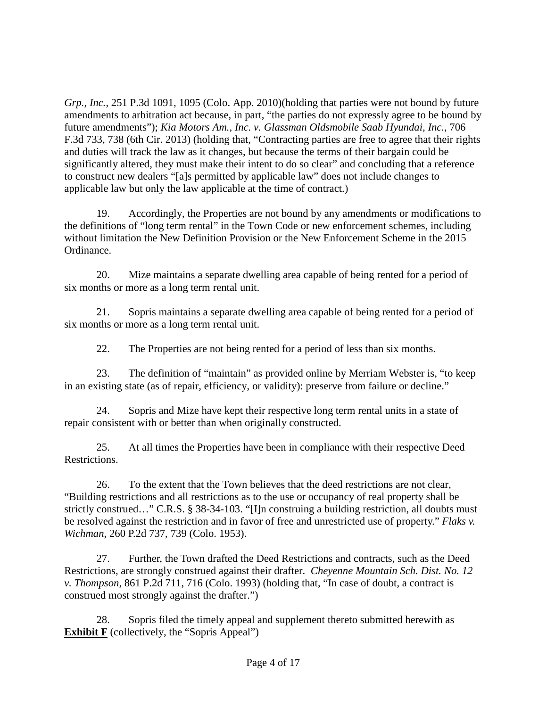*Grp., Inc.*, 251 P.3d 1091, 1095 (Colo. App. 2010)(holding that parties were not bound by future amendments to arbitration act because, in part, "the parties do not expressly agree to be bound by future amendments"); *Kia Motors Am., Inc. v. Glassman Oldsmobile Saab Hyundai, Inc.*, 706 F.3d 733, 738 (6th Cir. 2013) (holding that, "Contracting parties are free to agree that their rights and duties will track the law as it changes, but because the terms of their bargain could be significantly altered, they must make their intent to do so clear" and concluding that a reference to construct new dealers "[a]s permitted by applicable law" does not include changes to applicable law but only the law applicable at the time of contract.)

19. Accordingly, the Properties are not bound by any amendments or modifications to the definitions of "long term rental" in the Town Code or new enforcement schemes, including without limitation the New Definition Provision or the New Enforcement Scheme in the 2015 Ordinance.

20. Mize maintains a separate dwelling area capable of being rented for a period of six months or more as a long term rental unit.

21. Sopris maintains a separate dwelling area capable of being rented for a period of six months or more as a long term rental unit.

22. The Properties are not being rented for a period of less than six months.

23. The definition of "maintain" as provided online by Merriam Webster is, "to keep in an existing state (as of repair, efficiency, or validity): preserve from failure or decline."

24. Sopris and Mize have kept their respective long term rental units in a state of repair consistent with or better than when originally constructed.

25. At all times the Properties have been in compliance with their respective Deed Restrictions.

26. To the extent that the Town believes that the deed restrictions are not clear, "Building restrictions and all restrictions as to the use or occupancy of real property shall be strictly construed…" C.R.S. § 38-34-103. "[I]n construing a building restriction, all doubts must be resolved against the restriction and in favor of free and unrestricted use of property." *Flaks v. Wichman*, 260 P.2d 737, 739 (Colo. 1953).

27. Further, the Town drafted the Deed Restrictions and contracts, such as the Deed Restrictions, are strongly construed against their drafter. *Cheyenne Mountain Sch. Dist. No. 12 v. Thompson*, 861 P.2d 711, 716 (Colo. 1993) (holding that, "In case of doubt, a contract is construed most strongly against the drafter.")

28. Sopris filed the timely appeal and supplement thereto submitted herewith as **Exhibit F** (collectively, the "Sopris Appeal")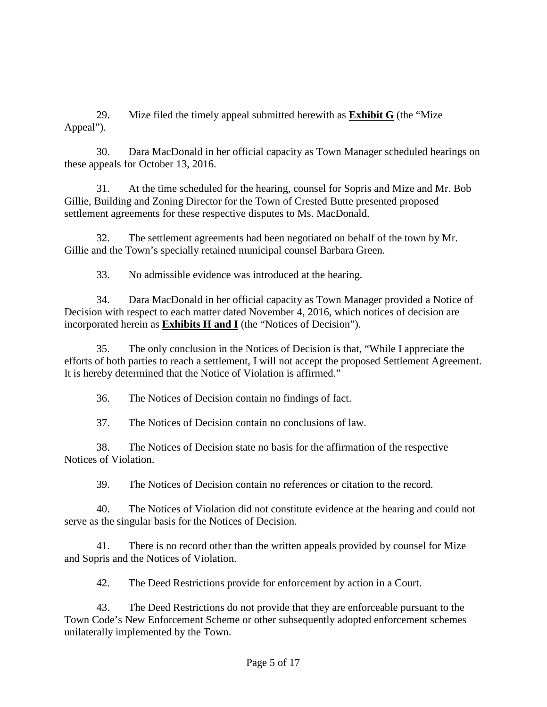29. Mize filed the timely appeal submitted herewith as **Exhibit G** (the "Mize Appeal").

30. Dara MacDonald in her official capacity as Town Manager scheduled hearings on these appeals for October 13, 2016.

31. At the time scheduled for the hearing, counsel for Sopris and Mize and Mr. Bob Gillie, Building and Zoning Director for the Town of Crested Butte presented proposed settlement agreements for these respective disputes to Ms. MacDonald.

32. The settlement agreements had been negotiated on behalf of the town by Mr. Gillie and the Town's specially retained municipal counsel Barbara Green.

33. No admissible evidence was introduced at the hearing.

34. Dara MacDonald in her official capacity as Town Manager provided a Notice of Decision with respect to each matter dated November 4, 2016, which notices of decision are incorporated herein as **Exhibits H and I** (the "Notices of Decision").

35. The only conclusion in the Notices of Decision is that, "While I appreciate the efforts of both parties to reach a settlement, I will not accept the proposed Settlement Agreement. It is hereby determined that the Notice of Violation is affirmed."

36. The Notices of Decision contain no findings of fact.

37. The Notices of Decision contain no conclusions of law.

38. The Notices of Decision state no basis for the affirmation of the respective Notices of Violation.

39. The Notices of Decision contain no references or citation to the record.

40. The Notices of Violation did not constitute evidence at the hearing and could not serve as the singular basis for the Notices of Decision.

41. There is no record other than the written appeals provided by counsel for Mize and Sopris and the Notices of Violation.

42. The Deed Restrictions provide for enforcement by action in a Court.

43. The Deed Restrictions do not provide that they are enforceable pursuant to the Town Code's New Enforcement Scheme or other subsequently adopted enforcement schemes unilaterally implemented by the Town.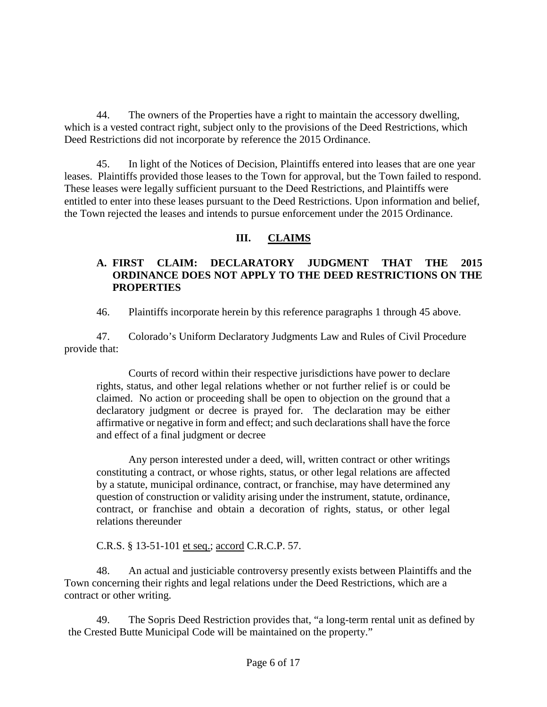44. The owners of the Properties have a right to maintain the accessory dwelling, which is a vested contract right, subject only to the provisions of the Deed Restrictions, which Deed Restrictions did not incorporate by reference the 2015 Ordinance.

45. In light of the Notices of Decision, Plaintiffs entered into leases that are one year leases. Plaintiffs provided those leases to the Town for approval, but the Town failed to respond. These leases were legally sufficient pursuant to the Deed Restrictions, and Plaintiffs were entitled to enter into these leases pursuant to the Deed Restrictions. Upon information and belief, the Town rejected the leases and intends to pursue enforcement under the 2015 Ordinance.

# **III. CLAIMS**

## **A. FIRST CLAIM: DECLARATORY JUDGMENT THAT THE 2015 ORDINANCE DOES NOT APPLY TO THE DEED RESTRICTIONS ON THE PROPERTIES**

46. Plaintiffs incorporate herein by this reference paragraphs 1 through 45 above.

47. Colorado's Uniform Declaratory Judgments Law and Rules of Civil Procedure provide that:

Courts of record within their respective jurisdictions have power to declare rights, status, and other legal relations whether or not further relief is or could be claimed. No action or proceeding shall be open to objection on the ground that a declaratory judgment or decree is prayed for. The declaration may be either affirmative or negative in form and effect; and such declarations shall have the force and effect of a final judgment or decree

Any person interested under a deed, will, written contract or other writings constituting a contract, or whose rights, status, or other legal relations are affected by a statute, municipal ordinance, contract, or franchise, may have determined any question of construction or validity arising under the instrument, statute, ordinance, contract, or franchise and obtain a decoration of rights, status, or other legal relations thereunder

C.R.S. § 13-51-101 et seq.; accord C.R.C.P. 57.

48. An actual and justiciable controversy presently exists between Plaintiffs and the Town concerning their rights and legal relations under the Deed Restrictions, which are a contract or other writing.

49. The Sopris Deed Restriction provides that, "a long-term rental unit as defined by the Crested Butte Municipal Code will be maintained on the property."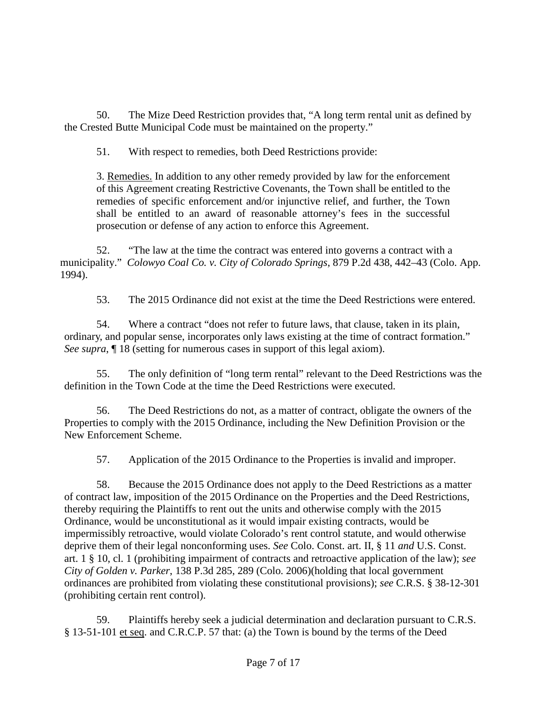50. The Mize Deed Restriction provides that, "A long term rental unit as defined by the Crested Butte Municipal Code must be maintained on the property."

51. With respect to remedies, both Deed Restrictions provide:

3. Remedies. In addition to any other remedy provided by law for the enforcement of this Agreement creating Restrictive Covenants, the Town shall be entitled to the remedies of specific enforcement and/or injunctive relief, and further, the Town shall be entitled to an award of reasonable attorney's fees in the successful prosecution or defense of any action to enforce this Agreement.

52. "The law at the time the contract was entered into governs a contract with a municipality." *Colowyo Coal Co. v. City of Colorado Springs*, 879 P.2d 438, 442–43 (Colo. App. 1994).

53. The 2015 Ordinance did not exist at the time the Deed Restrictions were entered.

54. Where a contract "does not refer to future laws, that clause, taken in its plain, ordinary, and popular sense, incorporates only laws existing at the time of contract formation." *See supra*,  $\llbracket$  18 (setting for numerous cases in support of this legal axiom).

55. The only definition of "long term rental" relevant to the Deed Restrictions was the definition in the Town Code at the time the Deed Restrictions were executed.

56. The Deed Restrictions do not, as a matter of contract, obligate the owners of the Properties to comply with the 2015 Ordinance, including the New Definition Provision or the New Enforcement Scheme.

57. Application of the 2015 Ordinance to the Properties is invalid and improper.

58. Because the 2015 Ordinance does not apply to the Deed Restrictions as a matter of contract law, imposition of the 2015 Ordinance on the Properties and the Deed Restrictions, thereby requiring the Plaintiffs to rent out the units and otherwise comply with the 2015 Ordinance, would be unconstitutional as it would impair existing contracts, would be impermissibly retroactive, would violate Colorado's rent control statute, and would otherwise deprive them of their legal nonconforming uses. *See* Colo. Const. art. II, § 11 *and* U.S. Const. art. 1 § 10, cl. 1 (prohibiting impairment of contracts and retroactive application of the law); *see City of Golden v. Parker*, 138 P.3d 285, 289 (Colo. 2006)(holding that local government ordinances are prohibited from violating these constitutional provisions); *see* C.R.S. § 38-12-301 (prohibiting certain rent control).

59. Plaintiffs hereby seek a judicial determination and declaration pursuant to C.R.S. § 13-51-101 et seq. and C.R.C.P. 57 that: (a) the Town is bound by the terms of the Deed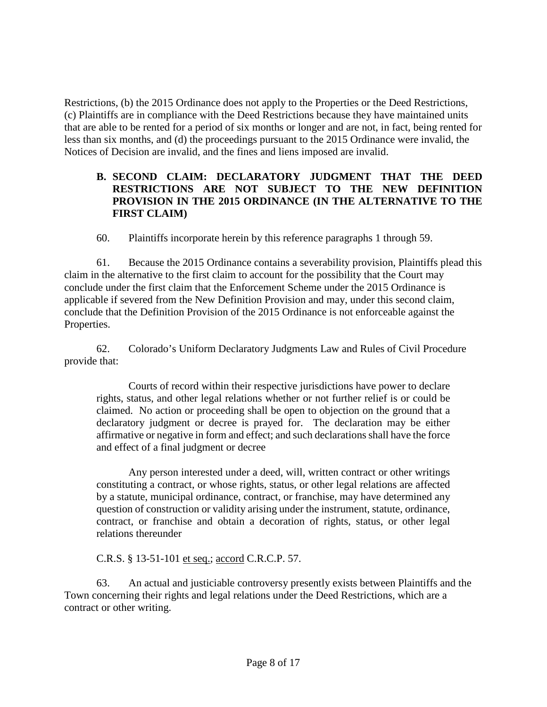Restrictions, (b) the 2015 Ordinance does not apply to the Properties or the Deed Restrictions, (c) Plaintiffs are in compliance with the Deed Restrictions because they have maintained units that are able to be rented for a period of six months or longer and are not, in fact, being rented for less than six months, and (d) the proceedings pursuant to the 2015 Ordinance were invalid, the Notices of Decision are invalid, and the fines and liens imposed are invalid.

### **B. SECOND CLAIM: DECLARATORY JUDGMENT THAT THE DEED RESTRICTIONS ARE NOT SUBJECT TO THE NEW DEFINITION PROVISION IN THE 2015 ORDINANCE (IN THE ALTERNATIVE TO THE FIRST CLAIM)**

60. Plaintiffs incorporate herein by this reference paragraphs 1 through 59.

61. Because the 2015 Ordinance contains a severability provision, Plaintiffs plead this claim in the alternative to the first claim to account for the possibility that the Court may conclude under the first claim that the Enforcement Scheme under the 2015 Ordinance is applicable if severed from the New Definition Provision and may, under this second claim, conclude that the Definition Provision of the 2015 Ordinance is not enforceable against the Properties.

62. Colorado's Uniform Declaratory Judgments Law and Rules of Civil Procedure provide that:

Courts of record within their respective jurisdictions have power to declare rights, status, and other legal relations whether or not further relief is or could be claimed. No action or proceeding shall be open to objection on the ground that a declaratory judgment or decree is prayed for. The declaration may be either affirmative or negative in form and effect; and such declarations shall have the force and effect of a final judgment or decree

Any person interested under a deed, will, written contract or other writings constituting a contract, or whose rights, status, or other legal relations are affected by a statute, municipal ordinance, contract, or franchise, may have determined any question of construction or validity arising under the instrument, statute, ordinance, contract, or franchise and obtain a decoration of rights, status, or other legal relations thereunder

C.R.S. § 13-51-101 et seq.; accord C.R.C.P. 57.

63. An actual and justiciable controversy presently exists between Plaintiffs and the Town concerning their rights and legal relations under the Deed Restrictions, which are a contract or other writing.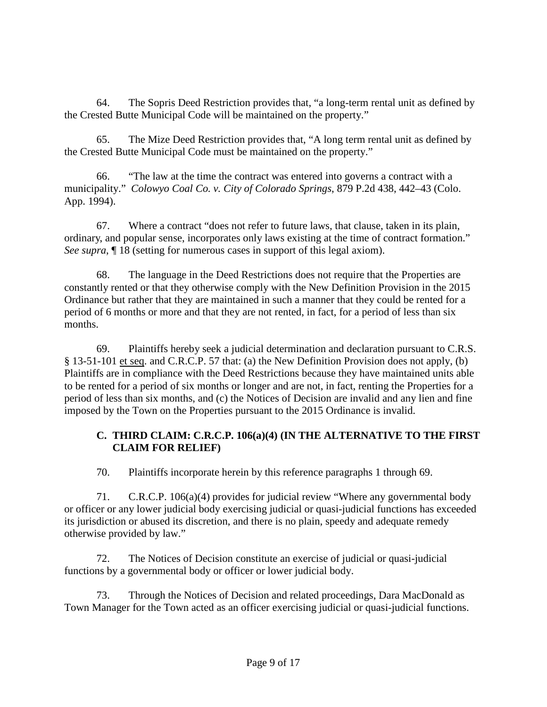64. The Sopris Deed Restriction provides that, "a long-term rental unit as defined by the Crested Butte Municipal Code will be maintained on the property."

65. The Mize Deed Restriction provides that, "A long term rental unit as defined by the Crested Butte Municipal Code must be maintained on the property."

66. "The law at the time the contract was entered into governs a contract with a municipality." *Colowyo Coal Co. v. City of Colorado Springs*, 879 P.2d 438, 442–43 (Colo. App. 1994).

67. Where a contract "does not refer to future laws, that clause, taken in its plain, ordinary, and popular sense, incorporates only laws existing at the time of contract formation." *See supra*, ¶ 18 (setting for numerous cases in support of this legal axiom).

68. The language in the Deed Restrictions does not require that the Properties are constantly rented or that they otherwise comply with the New Definition Provision in the 2015 Ordinance but rather that they are maintained in such a manner that they could be rented for a period of 6 months or more and that they are not rented, in fact, for a period of less than six months.

69. Plaintiffs hereby seek a judicial determination and declaration pursuant to C.R.S. § 13-51-101 et seq. and C.R.C.P. 57 that: (a) the New Definition Provision does not apply, (b) Plaintiffs are in compliance with the Deed Restrictions because they have maintained units able to be rented for a period of six months or longer and are not, in fact, renting the Properties for a period of less than six months, and (c) the Notices of Decision are invalid and any lien and fine imposed by the Town on the Properties pursuant to the 2015 Ordinance is invalid.

## **C. THIRD CLAIM: C.R.C.P. 106(a)(4) (IN THE ALTERNATIVE TO THE FIRST CLAIM FOR RELIEF)**

70. Plaintiffs incorporate herein by this reference paragraphs 1 through 69.

71. C.R.C.P. 106(a)(4) provides for judicial review "Where any governmental body or officer or any lower judicial body exercising judicial or quasi-judicial functions has exceeded its jurisdiction or abused its discretion, and there is no plain, speedy and adequate remedy otherwise provided by law."

72. The Notices of Decision constitute an exercise of judicial or quasi-judicial functions by a governmental body or officer or lower judicial body.

73. Through the Notices of Decision and related proceedings, Dara MacDonald as Town Manager for the Town acted as an officer exercising judicial or quasi-judicial functions.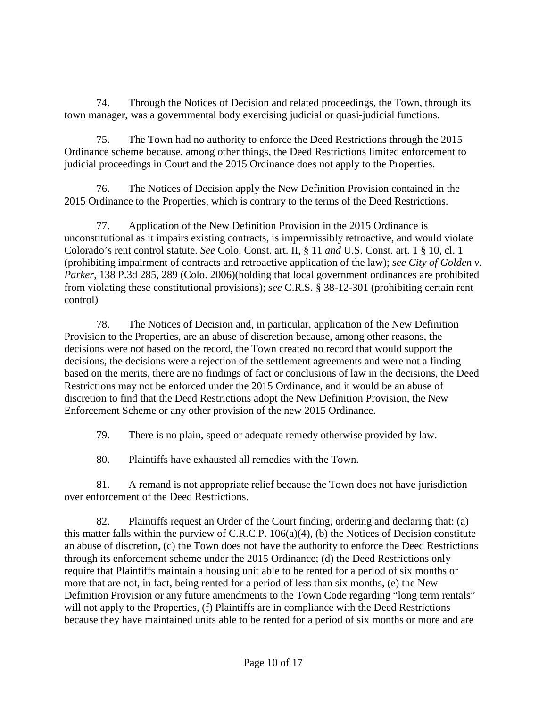74. Through the Notices of Decision and related proceedings, the Town, through its town manager, was a governmental body exercising judicial or quasi-judicial functions.

75. The Town had no authority to enforce the Deed Restrictions through the 2015 Ordinance scheme because, among other things, the Deed Restrictions limited enforcement to judicial proceedings in Court and the 2015 Ordinance does not apply to the Properties.

76. The Notices of Decision apply the New Definition Provision contained in the 2015 Ordinance to the Properties, which is contrary to the terms of the Deed Restrictions.

77. Application of the New Definition Provision in the 2015 Ordinance is unconstitutional as it impairs existing contracts, is impermissibly retroactive, and would violate Colorado's rent control statute. *See* Colo. Const. art. II, § 11 *and* U.S. Const. art. 1 § 10, cl. 1 (prohibiting impairment of contracts and retroactive application of the law); *see City of Golden v. Parker*, 138 P.3d 285, 289 (Colo. 2006)(holding that local government ordinances are prohibited from violating these constitutional provisions); *see* C.R.S. § 38-12-301 (prohibiting certain rent control)

78. The Notices of Decision and, in particular, application of the New Definition Provision to the Properties, are an abuse of discretion because, among other reasons, the decisions were not based on the record, the Town created no record that would support the decisions, the decisions were a rejection of the settlement agreements and were not a finding based on the merits, there are no findings of fact or conclusions of law in the decisions, the Deed Restrictions may not be enforced under the 2015 Ordinance, and it would be an abuse of discretion to find that the Deed Restrictions adopt the New Definition Provision, the New Enforcement Scheme or any other provision of the new 2015 Ordinance.

79. There is no plain, speed or adequate remedy otherwise provided by law.

80. Plaintiffs have exhausted all remedies with the Town.

81. A remand is not appropriate relief because the Town does not have jurisdiction over enforcement of the Deed Restrictions.

82. Plaintiffs request an Order of the Court finding, ordering and declaring that: (a) this matter falls within the purview of C.R.C.P. 106(a)(4), (b) the Notices of Decision constitute an abuse of discretion, (c) the Town does not have the authority to enforce the Deed Restrictions through its enforcement scheme under the 2015 Ordinance; (d) the Deed Restrictions only require that Plaintiffs maintain a housing unit able to be rented for a period of six months or more that are not, in fact, being rented for a period of less than six months, (e) the New Definition Provision or any future amendments to the Town Code regarding "long term rentals" will not apply to the Properties, (f) Plaintiffs are in compliance with the Deed Restrictions because they have maintained units able to be rented for a period of six months or more and are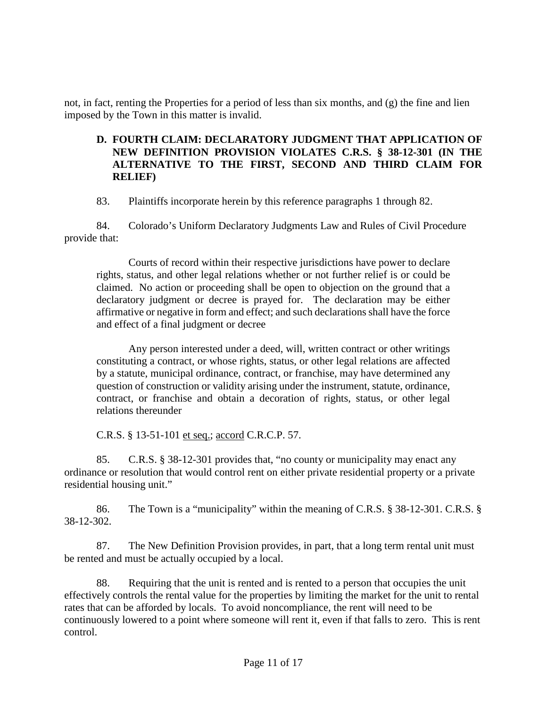not, in fact, renting the Properties for a period of less than six months, and (g) the fine and lien imposed by the Town in this matter is invalid.

### **D. FOURTH CLAIM: DECLARATORY JUDGMENT THAT APPLICATION OF NEW DEFINITION PROVISION VIOLATES C.R.S. § 38-12-301 (IN THE ALTERNATIVE TO THE FIRST, SECOND AND THIRD CLAIM FOR RELIEF)**

83. Plaintiffs incorporate herein by this reference paragraphs 1 through 82.

84. Colorado's Uniform Declaratory Judgments Law and Rules of Civil Procedure provide that:

Courts of record within their respective jurisdictions have power to declare rights, status, and other legal relations whether or not further relief is or could be claimed. No action or proceeding shall be open to objection on the ground that a declaratory judgment or decree is prayed for. The declaration may be either affirmative or negative in form and effect; and such declarations shall have the force and effect of a final judgment or decree

Any person interested under a deed, will, written contract or other writings constituting a contract, or whose rights, status, or other legal relations are affected by a statute, municipal ordinance, contract, or franchise, may have determined any question of construction or validity arising under the instrument, statute, ordinance, contract, or franchise and obtain a decoration of rights, status, or other legal relations thereunder

C.R.S. § 13-51-101 et seq.; accord C.R.C.P. 57.

85. C.R.S. § 38-12-301 provides that, "no county or municipality may enact any ordinance or resolution that would control rent on either private residential property or a private residential housing unit."

86. The Town is a "municipality" within the meaning of C.R.S. § 38-12-301. C.R.S. § 38-12-302.

87. The New Definition Provision provides, in part, that a long term rental unit must be rented and must be actually occupied by a local.

88. Requiring that the unit is rented and is rented to a person that occupies the unit effectively controls the rental value for the properties by limiting the market for the unit to rental rates that can be afforded by locals. To avoid noncompliance, the rent will need to be continuously lowered to a point where someone will rent it, even if that falls to zero. This is rent control.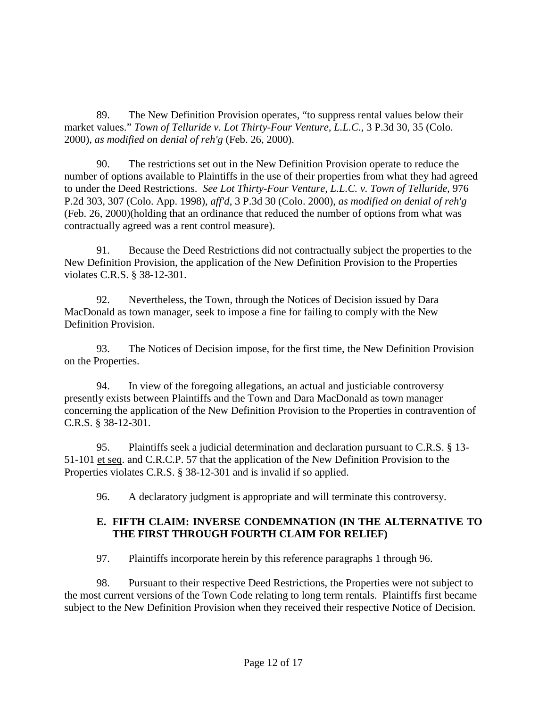89. The New Definition Provision operates, "to suppress rental values below their market values." *Town of Telluride v. Lot Thirty-Four Venture, L.L.C.*, 3 P.3d 30, 35 (Colo. 2000), *as modified on denial of reh'g* (Feb. 26, 2000).

90. The restrictions set out in the New Definition Provision operate to reduce the number of options available to Plaintiffs in the use of their properties from what they had agreed to under the Deed Restrictions. *See Lot Thirty-Four Venture, L.L.C. v. Town of Telluride*, 976 P.2d 303, 307 (Colo. App. 1998), *aff'd*, 3 P.3d 30 (Colo. 2000), *as modified on denial of reh'g* (Feb. 26, 2000)(holding that an ordinance that reduced the number of options from what was contractually agreed was a rent control measure).

91. Because the Deed Restrictions did not contractually subject the properties to the New Definition Provision, the application of the New Definition Provision to the Properties violates C.R.S. § 38-12-301.

92. Nevertheless, the Town, through the Notices of Decision issued by Dara MacDonald as town manager, seek to impose a fine for failing to comply with the New Definition Provision.

93. The Notices of Decision impose, for the first time, the New Definition Provision on the Properties.

94. In view of the foregoing allegations, an actual and justiciable controversy presently exists between Plaintiffs and the Town and Dara MacDonald as town manager concerning the application of the New Definition Provision to the Properties in contravention of C.R.S. § 38-12-301.

95. Plaintiffs seek a judicial determination and declaration pursuant to C.R.S. § 13- 51-101 et seq. and C.R.C.P. 57 that the application of the New Definition Provision to the Properties violates C.R.S. § 38-12-301 and is invalid if so applied.

96. A declaratory judgment is appropriate and will terminate this controversy.

## **E. FIFTH CLAIM: INVERSE CONDEMNATION (IN THE ALTERNATIVE TO THE FIRST THROUGH FOURTH CLAIM FOR RELIEF)**

97. Plaintiffs incorporate herein by this reference paragraphs 1 through 96.

98. Pursuant to their respective Deed Restrictions, the Properties were not subject to the most current versions of the Town Code relating to long term rentals. Plaintiffs first became subject to the New Definition Provision when they received their respective Notice of Decision.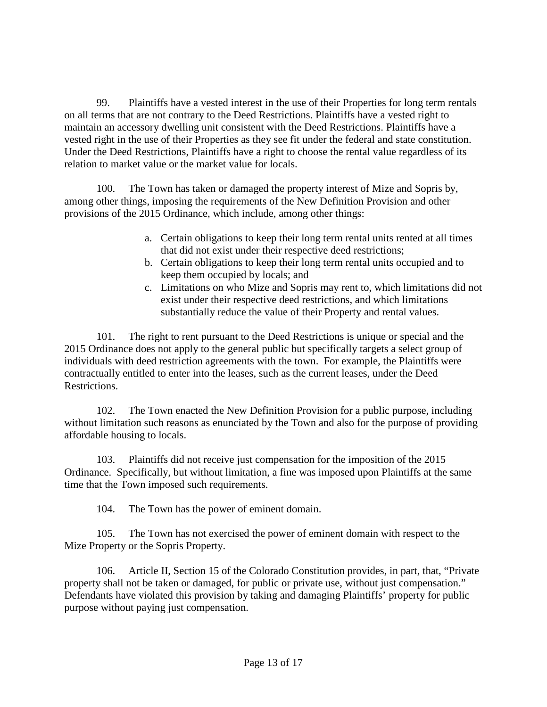99. Plaintiffs have a vested interest in the use of their Properties for long term rentals on all terms that are not contrary to the Deed Restrictions. Plaintiffs have a vested right to maintain an accessory dwelling unit consistent with the Deed Restrictions. Plaintiffs have a vested right in the use of their Properties as they see fit under the federal and state constitution. Under the Deed Restrictions, Plaintiffs have a right to choose the rental value regardless of its relation to market value or the market value for locals.

100. The Town has taken or damaged the property interest of Mize and Sopris by, among other things, imposing the requirements of the New Definition Provision and other provisions of the 2015 Ordinance, which include, among other things:

- a. Certain obligations to keep their long term rental units rented at all times that did not exist under their respective deed restrictions;
- b. Certain obligations to keep their long term rental units occupied and to keep them occupied by locals; and
- c. Limitations on who Mize and Sopris may rent to, which limitations did not exist under their respective deed restrictions, and which limitations substantially reduce the value of their Property and rental values.

101. The right to rent pursuant to the Deed Restrictions is unique or special and the 2015 Ordinance does not apply to the general public but specifically targets a select group of individuals with deed restriction agreements with the town. For example, the Plaintiffs were contractually entitled to enter into the leases, such as the current leases, under the Deed Restrictions.

102. The Town enacted the New Definition Provision for a public purpose, including without limitation such reasons as enunciated by the Town and also for the purpose of providing affordable housing to locals.

103. Plaintiffs did not receive just compensation for the imposition of the 2015 Ordinance. Specifically, but without limitation, a fine was imposed upon Plaintiffs at the same time that the Town imposed such requirements.

104. The Town has the power of eminent domain.

105. The Town has not exercised the power of eminent domain with respect to the Mize Property or the Sopris Property.

106. Article II, Section 15 of the Colorado Constitution provides, in part, that, "Private property shall not be taken or damaged, for public or private use, without just compensation." Defendants have violated this provision by taking and damaging Plaintiffs' property for public purpose without paying just compensation.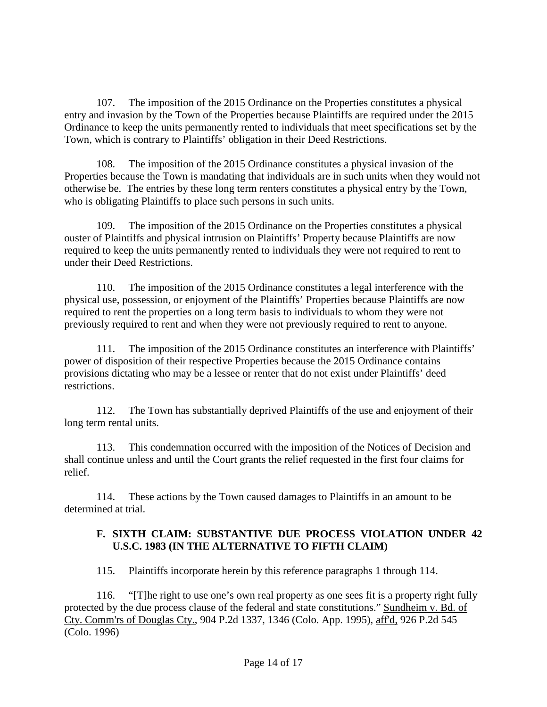107. The imposition of the 2015 Ordinance on the Properties constitutes a physical entry and invasion by the Town of the Properties because Plaintiffs are required under the 2015 Ordinance to keep the units permanently rented to individuals that meet specifications set by the Town, which is contrary to Plaintiffs' obligation in their Deed Restrictions.

108. The imposition of the 2015 Ordinance constitutes a physical invasion of the Properties because the Town is mandating that individuals are in such units when they would not otherwise be. The entries by these long term renters constitutes a physical entry by the Town, who is obligating Plaintiffs to place such persons in such units.

109. The imposition of the 2015 Ordinance on the Properties constitutes a physical ouster of Plaintiffs and physical intrusion on Plaintiffs' Property because Plaintiffs are now required to keep the units permanently rented to individuals they were not required to rent to under their Deed Restrictions.

110. The imposition of the 2015 Ordinance constitutes a legal interference with the physical use, possession, or enjoyment of the Plaintiffs' Properties because Plaintiffs are now required to rent the properties on a long term basis to individuals to whom they were not previously required to rent and when they were not previously required to rent to anyone.

111. The imposition of the 2015 Ordinance constitutes an interference with Plaintiffs' power of disposition of their respective Properties because the 2015 Ordinance contains provisions dictating who may be a lessee or renter that do not exist under Plaintiffs' deed restrictions.

112. The Town has substantially deprived Plaintiffs of the use and enjoyment of their long term rental units.

113. This condemnation occurred with the imposition of the Notices of Decision and shall continue unless and until the Court grants the relief requested in the first four claims for relief.

114. These actions by the Town caused damages to Plaintiffs in an amount to be determined at trial.

### **F. SIXTH CLAIM: SUBSTANTIVE DUE PROCESS VIOLATION UNDER 42 U.S.C. 1983 (IN THE ALTERNATIVE TO FIFTH CLAIM)**

115. Plaintiffs incorporate herein by this reference paragraphs 1 through 114.

116. "[T]he right to use one's own real property as one sees fit is a property right fully protected by the due process clause of the federal and state constitutions." Sundheim v. Bd. of Cty. Comm'rs of Douglas Cty., 904 P.2d 1337, 1346 (Colo. App. 1995), aff'd, 926 P.2d 545 (Colo. 1996)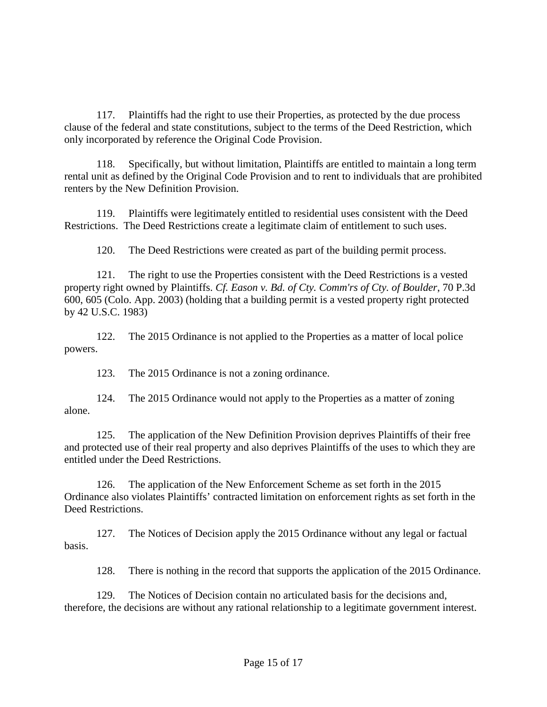117. Plaintiffs had the right to use their Properties, as protected by the due process clause of the federal and state constitutions, subject to the terms of the Deed Restriction, which only incorporated by reference the Original Code Provision.

118. Specifically, but without limitation, Plaintiffs are entitled to maintain a long term rental unit as defined by the Original Code Provision and to rent to individuals that are prohibited renters by the New Definition Provision.

119. Plaintiffs were legitimately entitled to residential uses consistent with the Deed Restrictions. The Deed Restrictions create a legitimate claim of entitlement to such uses.

120. The Deed Restrictions were created as part of the building permit process.

121. The right to use the Properties consistent with the Deed Restrictions is a vested property right owned by Plaintiffs. *Cf. Eason v. Bd. of Cty. Comm'rs of Cty. of Boulder*, 70 P.3d 600, 605 (Colo. App. 2003) (holding that a building permit is a vested property right protected by 42 U.S.C. 1983)

122. The 2015 Ordinance is not applied to the Properties as a matter of local police powers.

123. The 2015 Ordinance is not a zoning ordinance.

124. The 2015 Ordinance would not apply to the Properties as a matter of zoning alone.

125. The application of the New Definition Provision deprives Plaintiffs of their free and protected use of their real property and also deprives Plaintiffs of the uses to which they are entitled under the Deed Restrictions.

126. The application of the New Enforcement Scheme as set forth in the 2015 Ordinance also violates Plaintiffs' contracted limitation on enforcement rights as set forth in the Deed Restrictions.

127. The Notices of Decision apply the 2015 Ordinance without any legal or factual basis.

128. There is nothing in the record that supports the application of the 2015 Ordinance.

129. The Notices of Decision contain no articulated basis for the decisions and, therefore, the decisions are without any rational relationship to a legitimate government interest.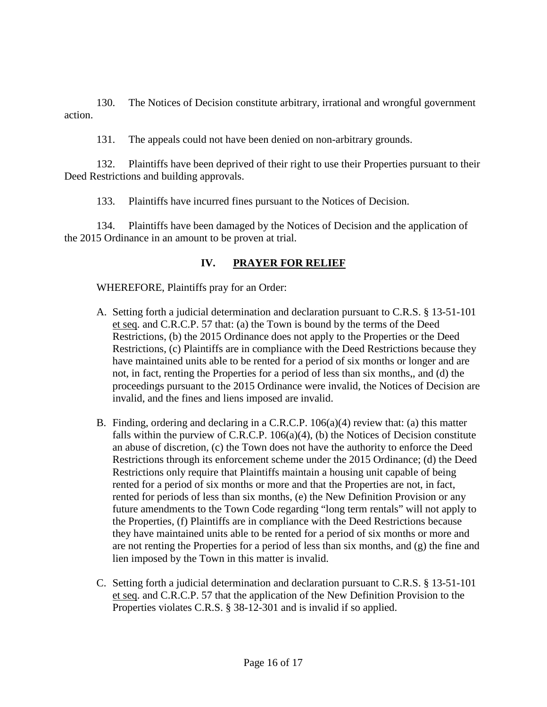130. The Notices of Decision constitute arbitrary, irrational and wrongful government action.

131. The appeals could not have been denied on non-arbitrary grounds.

132. Plaintiffs have been deprived of their right to use their Properties pursuant to their Deed Restrictions and building approvals.

133. Plaintiffs have incurred fines pursuant to the Notices of Decision.

134. Plaintiffs have been damaged by the Notices of Decision and the application of the 2015 Ordinance in an amount to be proven at trial.

# **IV. PRAYER FOR RELIEF**

WHEREFORE, Plaintiffs pray for an Order:

- A. Setting forth a judicial determination and declaration pursuant to C.R.S. § 13-51-101 et seq. and C.R.C.P. 57 that: (a) the Town is bound by the terms of the Deed Restrictions, (b) the 2015 Ordinance does not apply to the Properties or the Deed Restrictions, (c) Plaintiffs are in compliance with the Deed Restrictions because they have maintained units able to be rented for a period of six months or longer and are not, in fact, renting the Properties for a period of less than six months,, and (d) the proceedings pursuant to the 2015 Ordinance were invalid, the Notices of Decision are invalid, and the fines and liens imposed are invalid.
- B. Finding, ordering and declaring in a C.R.C.P. 106(a)(4) review that: (a) this matter falls within the purview of C.R.C.P. 106(a)(4), (b) the Notices of Decision constitute an abuse of discretion, (c) the Town does not have the authority to enforce the Deed Restrictions through its enforcement scheme under the 2015 Ordinance; (d) the Deed Restrictions only require that Plaintiffs maintain a housing unit capable of being rented for a period of six months or more and that the Properties are not, in fact, rented for periods of less than six months, (e) the New Definition Provision or any future amendments to the Town Code regarding "long term rentals" will not apply to the Properties, (f) Plaintiffs are in compliance with the Deed Restrictions because they have maintained units able to be rented for a period of six months or more and are not renting the Properties for a period of less than six months, and (g) the fine and lien imposed by the Town in this matter is invalid.
- C. Setting forth a judicial determination and declaration pursuant to C.R.S. § 13-51-101 et seq. and C.R.C.P. 57 that the application of the New Definition Provision to the Properties violates C.R.S. § 38-12-301 and is invalid if so applied.